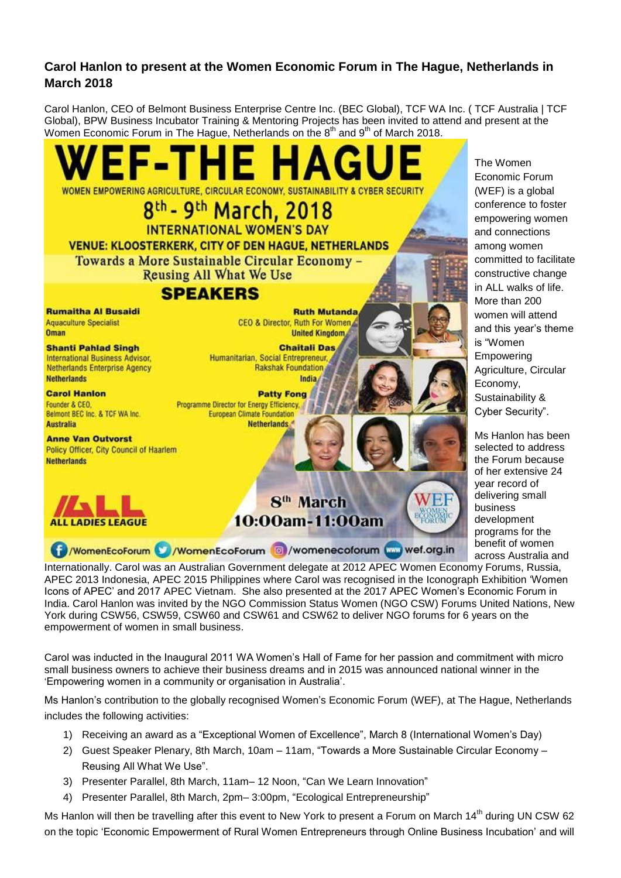## **Carol Hanlon to present at the Women Economic Forum in The Hague, Netherlands in March 2018**

Carol Hanlon, CEO of Belmont Business Enterprise Centre Inc. (BEC Global), TCF WA Inc. ( TCF Australia | TCF Global), BPW Business Incubator Training & Mentoring Projects has been invited to attend and present at the Women Economic Forum in The Hague, Netherlands on the  $8<sup>th</sup>$  and  $9<sup>th</sup>$  of March 2018.



The Women Economic Forum (WEF) is a global conference to foster empowering women and connections among women committed to facilitate constructive change in ALL walks of life. More than 200 women will attend and this year's theme is "Women Empowering Agriculture, Circular Economy, Sustainability & Cyber Security".

Ms Hanlon has been selected to address the Forum because of her extensive 24 year record of delivering small business development programs for the benefit of women across Australia and

Internationally. Carol was an Australian Government delegate at 2012 APEC Women Economy Forums, Russia, APEC 2013 Indonesia, APEC 2015 Philippines where Carol was recognised in the Iconograph Exhibition 'Women Icons of APEC' and 2017 APEC Vietnam. She also presented at the 2017 APEC Women's Economic Forum in India. Carol Hanlon was invited by the NGO Commission Status Women (NGO CSW) Forums United Nations, New York during CSW56, CSW59, CSW60 and CSW61 and CSW62 to deliver NGO forums for 6 years on the empowerment of women in small business.

Carol was inducted in the Inaugural 2011 WA Women's Hall of Fame for her passion and commitment with micro small business owners to achieve their business dreams and in 2015 was announced national winner in the 'Empowering women in a community or organisation in Australia'.

Ms Hanlon's contribution to the globally recognised Women's Economic Forum (WEF), at The Hague, Netherlands includes the following activities:

- 1) Receiving an award as a "Exceptional Women of Excellence", March 8 (International Women's Day)
- 2) Guest Speaker Plenary, 8th March, 10am 11am, "Towards a More Sustainable Circular Economy Reusing All What We Use".
- 3) Presenter Parallel, 8th March, 11am– 12 Noon, "Can We Learn Innovation"
- 4) Presenter Parallel, 8th March, 2pm– 3:00pm, "Ecological Entrepreneurship"

Ms Hanlon will then be travelling after this event to New York to present a Forum on March 14<sup>th</sup> during UN CSW 62 on the topic 'Economic Empowerment of Rural Women Entrepreneurs through Online Business Incubation' and will